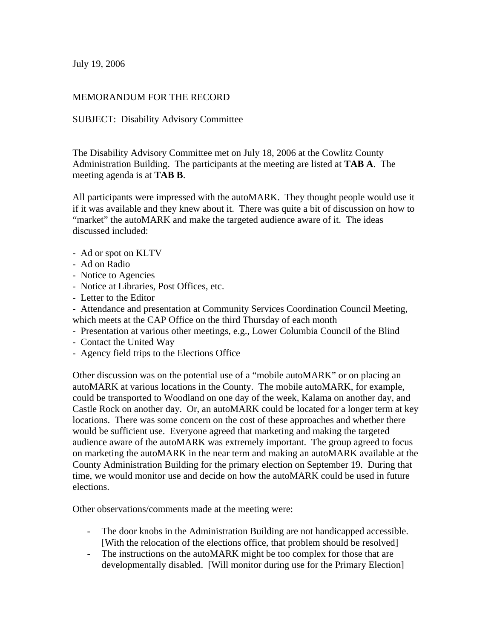July 19, 2006

## MEMORANDUM FOR THE RECORD

## SUBJECT: Disability Advisory Committee

The Disability Advisory Committee met on July 18, 2006 at the Cowlitz County Administration Building. The participants at the meeting are listed at **TAB A**. The meeting agenda is at **TAB B**.

All participants were impressed with the autoMARK. They thought people would use it if it was available and they knew about it. There was quite a bit of discussion on how to "market" the autoMARK and make the targeted audience aware of it. The ideas discussed included:

- Ad or spot on KLTV
- Ad on Radio
- Notice to Agencies
- Notice at Libraries, Post Offices, etc.
- Letter to the Editor

- Attendance and presentation at Community Services Coordination Council Meeting, which meets at the CAP Office on the third Thursday of each month

- Presentation at various other meetings, e.g., Lower Columbia Council of the Blind
- Contact the United Way
- Agency field trips to the Elections Office

Other discussion was on the potential use of a "mobile autoMARK" or on placing an autoMARK at various locations in the County. The mobile autoMARK, for example, could be transported to Woodland on one day of the week, Kalama on another day, and Castle Rock on another day. Or, an autoMARK could be located for a longer term at key locations. There was some concern on the cost of these approaches and whether there would be sufficient use. Everyone agreed that marketing and making the targeted audience aware of the autoMARK was extremely important. The group agreed to focus on marketing the autoMARK in the near term and making an autoMARK available at the County Administration Building for the primary election on September 19. During that time, we would monitor use and decide on how the autoMARK could be used in future elections.

Other observations/comments made at the meeting were:

- The door knobs in the Administration Building are not handicapped accessible. [With the relocation of the elections office, that problem should be resolved]
- The instructions on the autoMARK might be too complex for those that are developmentally disabled. [Will monitor during use for the Primary Election]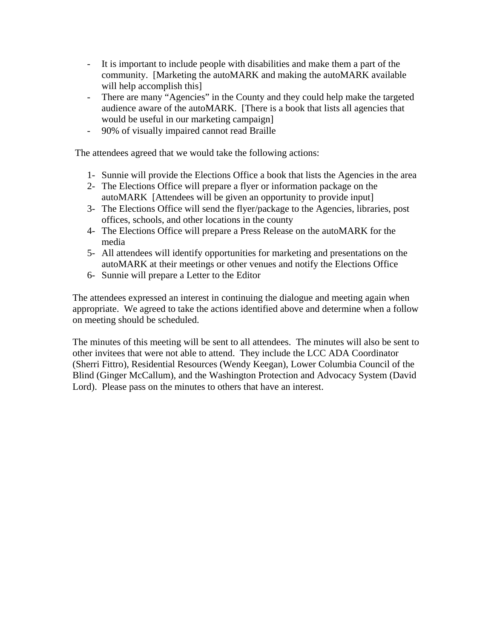- It is important to include people with disabilities and make them a part of the community. [Marketing the autoMARK and making the autoMARK available will help accomplish this
- There are many "Agencies" in the County and they could help make the targeted audience aware of the autoMARK. [There is a book that lists all agencies that would be useful in our marketing campaign]
- 90% of visually impaired cannot read Braille

The attendees agreed that we would take the following actions:

- 1- Sunnie will provide the Elections Office a book that lists the Agencies in the area
- 2- The Elections Office will prepare a flyer or information package on the autoMARK [Attendees will be given an opportunity to provide input]
- 3- The Elections Office will send the flyer/package to the Agencies, libraries, post offices, schools, and other locations in the county
- 4- The Elections Office will prepare a Press Release on the autoMARK for the media
- 5- All attendees will identify opportunities for marketing and presentations on the autoMARK at their meetings or other venues and notify the Elections Office
- 6- Sunnie will prepare a Letter to the Editor

The attendees expressed an interest in continuing the dialogue and meeting again when appropriate. We agreed to take the actions identified above and determine when a follow on meeting should be scheduled.

The minutes of this meeting will be sent to all attendees. The minutes will also be sent to other invitees that were not able to attend. They include the LCC ADA Coordinator (Sherri Fittro), Residential Resources (Wendy Keegan), Lower Columbia Council of the Blind (Ginger McCallum), and the Washington Protection and Advocacy System (David Lord). Please pass on the minutes to others that have an interest.